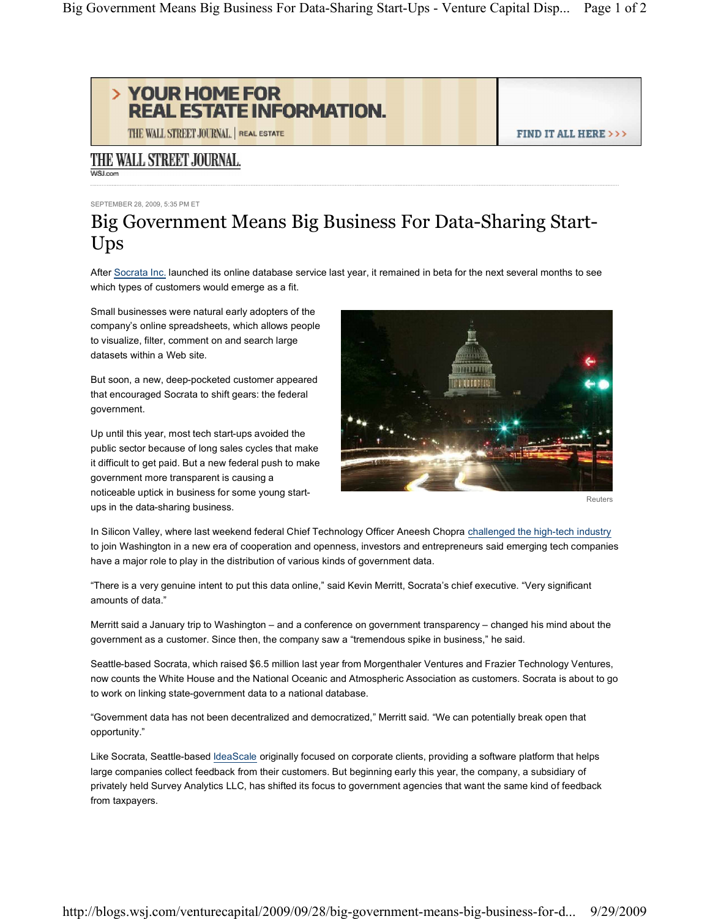

THE WALL STREET JOURNAL. | REAL ESTATE

## THE WALL STREET JOURNAL. WSI com

SEPTEMBER 28, 2009, 5:35 PM ET

## Big Government Means Big Business For Data-Sharing Start-Ups

After Socrata Inc. launched its online database service last year, it remained in beta for the next several months to see which types of customers would emerge as a fit.

Small businesses were natural early adopters of the company's online spreadsheets, which allows people to visualize, filter, comment on and search large datasets within a Web site.

But soon, a new, deep-pocketed customer appeared that encouraged Socrata to shift gears: the federal government.

Up until this year, most tech start-ups avoided the public sector because of long sales cycles that make it difficult to get paid. But a new federal push to make government more transparent is causing a noticeable uptick in business for some young startups in the data-sharing business.



Reuters

FIND IT ALL HERE >>>

In Silicon Valley, where last weekend federal Chief Technology Officer Aneesh Chopra challenged the high-tech industry to join Washington in a new era of cooperation and openness, investors and entrepreneurs said emerging tech companies have a major role to play in the distribution of various kinds of government data.

"There is a very genuine intent to put this data online," said Kevin Merritt, Socrata's chief executive. "Very significant amounts of data.´

Merritt said a January trip to Washington - and a conference on government transparency - changed his mind about the government as a customer. Since then, the company saw a "tremendous spike in business," he said.

Seattle-based Socrata, which raised \$6.5 million last year from Morgenthaler Ventures and Frazier Technology Ventures, now counts the White House and the National Oceanic and Atmospheric Association as customers. Socrata is about to go to work on linking state-government data to a national database.

"Government data has not been decentralized and democratized," Merritt said. "We can potentially break open that opportunity.´

Like Socrata, Seattle-based IdeaScale originally focused on corporate clients, providing a software platform that helps large companies collect feedback from their customers. But beginning early this year, the company, a subsidiary of privately held Survey Analytics LLC, has shifted its focus to government agencies that want the same kind of feedback from taxpayers.